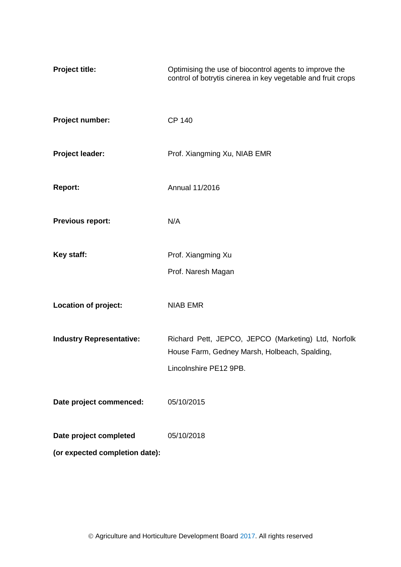| <b>Project title:</b>                                    | Optimising the use of biocontrol agents to improve the<br>control of botrytis cinerea in key vegetable and fruit crops         |
|----------------------------------------------------------|--------------------------------------------------------------------------------------------------------------------------------|
| Project number:                                          | <b>CP 140</b>                                                                                                                  |
| Project leader:                                          | Prof. Xiangming Xu, NIAB EMR                                                                                                   |
| <b>Report:</b>                                           | Annual 11/2016                                                                                                                 |
| <b>Previous report:</b>                                  | N/A                                                                                                                            |
| Key staff:                                               | Prof. Xiangming Xu<br>Prof. Naresh Magan                                                                                       |
| Location of project:                                     | <b>NIAB EMR</b>                                                                                                                |
| <b>Industry Representative:</b>                          | Richard Pett, JEPCO, JEPCO (Marketing) Ltd, Norfolk<br>House Farm, Gedney Marsh, Holbeach, Spalding,<br>Lincolnshire PE12 9PB. |
| Date project commenced:                                  | 05/10/2015                                                                                                                     |
| Date project completed<br>(or expected completion date): | 05/10/2018                                                                                                                     |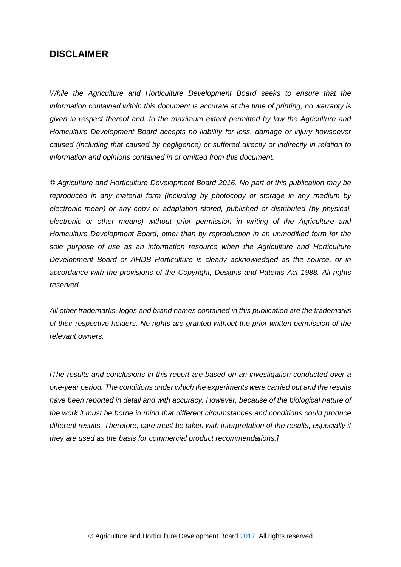# **DISCLAIMER**

*While the Agriculture and Horticulture Development Board seeks to ensure that the information contained within this document is accurate at the time of printing, no warranty is given in respect thereof and, to the maximum extent permitted by law the Agriculture and Horticulture Development Board accepts no liability for loss, damage or injury howsoever caused (including that caused by negligence) or suffered directly or indirectly in relation to information and opinions contained in or omitted from this document.* 

*© Agriculture and Horticulture Development Board 2016. No part of this publication may be reproduced in any material form (including by photocopy or storage in any medium by electronic mean) or any copy or adaptation stored, published or distributed (by physical, electronic or other means) without prior permission in writing of the Agriculture and Horticulture Development Board, other than by reproduction in an unmodified form for the sole purpose of use as an information resource when the Agriculture and Horticulture Development Board or AHDB Horticulture is clearly acknowledged as the source, or in accordance with the provisions of the Copyright, Designs and Patents Act 1988. All rights reserved.*

*All other trademarks, logos and brand names contained in this publication are the trademarks of their respective holders. No rights are granted without the prior written permission of the relevant owners.* 

*[The results and conclusions in this report are based on an investigation conducted over a one-year period. The conditions under which the experiments were carried out and the results have been reported in detail and with accuracy. However, because of the biological nature of the work it must be borne in mind that different circumstances and conditions could produce different results. Therefore, care must be taken with interpretation of the results, especially if they are used as the basis for commercial product recommendations.]*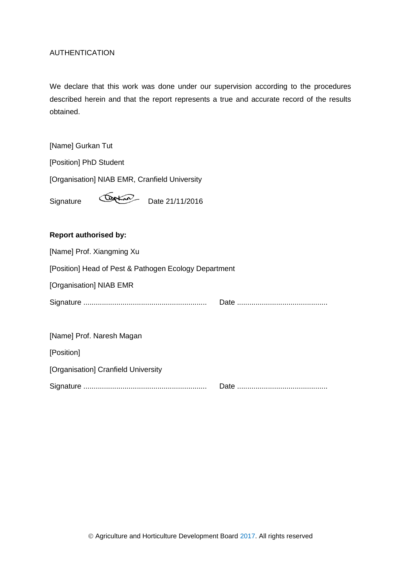## AUTHENTICATION

We declare that this work was done under our supervision according to the procedures described herein and that the report represents a true and accurate record of the results obtained.

[Name] Gurkan Tut

[Position] PhD Student

[Organisation] NIAB EMR, Cranfield University

Signature Cortain Date 21/11/2016

## **Report authorised by:**

| [Name] Prof. Xiangming Xu                             |  |
|-------------------------------------------------------|--|
| [Position] Head of Pest & Pathogen Ecology Department |  |
| [Organisation] NIAB EMR                               |  |
|                                                       |  |
|                                                       |  |
| [Name] Prof. Naresh Magan                             |  |
| [Position]                                            |  |
| [Organisation] Cranfield University                   |  |
|                                                       |  |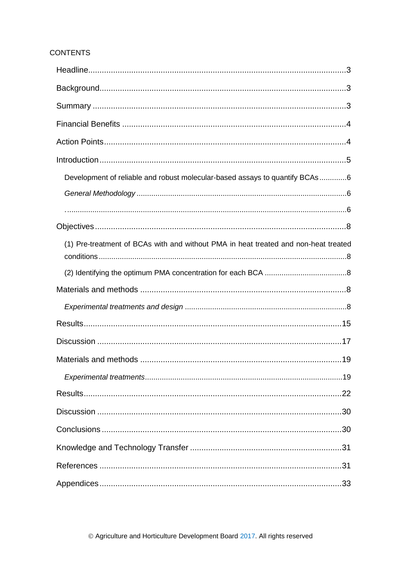## **CONTENTS**

| Development of reliable and robust molecular-based assays to quantify BCAs6         |  |
|-------------------------------------------------------------------------------------|--|
|                                                                                     |  |
|                                                                                     |  |
|                                                                                     |  |
| (1) Pre-treatment of BCAs with and without PMA in heat treated and non-heat treated |  |
|                                                                                     |  |
|                                                                                     |  |
|                                                                                     |  |
|                                                                                     |  |
|                                                                                     |  |
|                                                                                     |  |
|                                                                                     |  |
|                                                                                     |  |
|                                                                                     |  |
|                                                                                     |  |
|                                                                                     |  |
|                                                                                     |  |
|                                                                                     |  |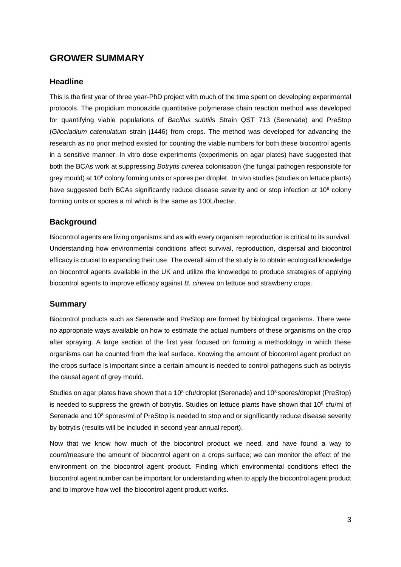# **GROWER SUMMARY**

## <span id="page-4-0"></span>**Headline**

This is the first year of three year-PhD project with much of the time spent on developing experimental protocols. The propidium monoazide quantitative polymerase chain reaction method was developed for quantifying viable populations of *Bacillus subtilis* Strain QST 713 (Serenade) and PreStop (*Gliocladium catenulatum* strain j1446) from crops. The method was developed for advancing the research as no prior method existed for counting the viable numbers for both these biocontrol agents in a sensitive manner. In vitro dose experiments (experiments on agar plates) have suggested that both the BCAs work at suppressing *Botrytis cinerea* colonisation (the fungal pathogen responsible for grey mould) at 10<sup>8</sup> colony forming units or spores per droplet. In vivo studies (studies on lettuce plants) have suggested both BCAs significantly reduce disease severity and or stop infection at 10<sup>8</sup> colony forming units or spores a ml which is the same as 100L/hectar.

## <span id="page-4-1"></span>**Background**

Biocontrol agents are living organisms and as with every organism reproduction is critical to its survival. Understanding how environmental conditions affect survival, reproduction, dispersal and biocontrol efficacy is crucial to expanding their use. The overall aim of the study is to obtain ecological knowledge on biocontrol agents available in the UK and utilize the knowledge to produce strategies of applying biocontrol agents to improve efficacy against *B. cinerea* on lettuce and strawberry crops.

## <span id="page-4-2"></span>**Summary**

Biocontrol products such as Serenade and PreStop are formed by biological organisms. There were no appropriate ways available on how to estimate the actual numbers of these organisms on the crop after spraying. A large section of the first year focused on forming a methodology in which these organisms can be counted from the leaf surface. Knowing the amount of biocontrol agent product on the crops surface is important since a certain amount is needed to control pathogens such as botrytis the causal agent of grey mould.

Studies on agar plates have shown that a 10 $^8$  cfu/droplet (Serenade) and 10 $^8$  spores/droplet (PreStop) is needed to suppress the growth of botrytis. Studies on lettuce plants have shown that  $10^8$  cfu/ml of Serenade and 10<sup>8</sup> spores/ml of PreStop is needed to stop and or significantly reduce disease severity by botrytis (results will be included in second year annual report).

Now that we know how much of the biocontrol product we need, and have found a way to count/measure the amount of biocontrol agent on a crops surface; we can monitor the effect of the environment on the biocontrol agent product. Finding which environmental conditions effect the biocontrol agent number can be important for understanding when to apply the biocontrol agent product and to improve how well the biocontrol agent product works.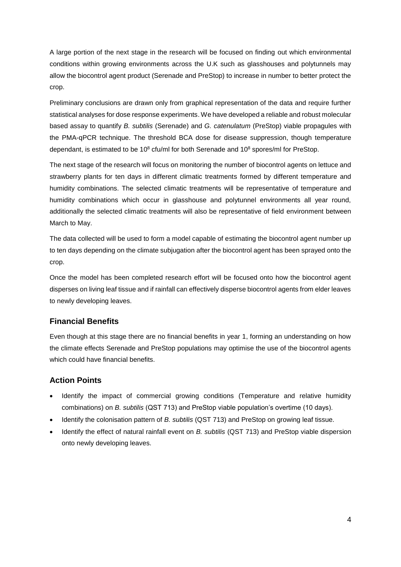A large portion of the next stage in the research will be focused on finding out which environmental conditions within growing environments across the U.K such as glasshouses and polytunnels may allow the biocontrol agent product (Serenade and PreStop) to increase in number to better protect the crop.

Preliminary conclusions are drawn only from graphical representation of the data and require further statistical analyses for dose response experiments. We have developed a reliable and robust molecular based assay to quantify *B. subtilis* (Serenade) and *G. catenulatum* (PreStop) viable propagules with the PMA-qPCR technique. The threshold BCA dose for disease suppression, though temperature dependant, is estimated to be 10 $^8$  cfu/ml for both Serenade and 10 $^8$  spores/ml for PreStop.

The next stage of the research will focus on monitoring the number of biocontrol agents on lettuce and strawberry plants for ten days in different climatic treatments formed by different temperature and humidity combinations. The selected climatic treatments will be representative of temperature and humidity combinations which occur in glasshouse and polytunnel environments all year round, additionally the selected climatic treatments will also be representative of field environment between March to May.

The data collected will be used to form a model capable of estimating the biocontrol agent number up to ten days depending on the climate subjugation after the biocontrol agent has been sprayed onto the crop.

Once the model has been completed research effort will be focused onto how the biocontrol agent disperses on living leaf tissue and if rainfall can effectively disperse biocontrol agents from elder leaves to newly developing leaves.

## <span id="page-5-0"></span>**Financial Benefits**

Even though at this stage there are no financial benefits in year 1, forming an understanding on how the climate effects Serenade and PreStop populations may optimise the use of the biocontrol agents which could have financial benefits.

#### <span id="page-5-1"></span>**Action Points**

- Identify the impact of commercial growing conditions (Temperature and relative humidity combinations) on *B. subtilis* (QST 713) and PreStop viable population's overtime (10 days).
- Identify the colonisation pattern of *B. subtilis* (QST 713) and PreStop on growing leaf tissue.
- Identify the effect of natural rainfall event on *B. subtilis* (QST 713) and PreStop viable dispersion onto newly developing leaves.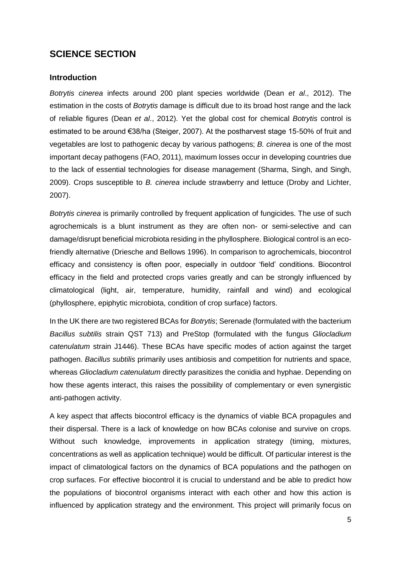# **SCIENCE SECTION**

#### <span id="page-6-0"></span>**Introduction**

*Botrytis cinerea* infects around 200 plant species worldwide (Dean *et al*., 2012). The estimation in the costs of *Botrytis* damage is difficult due to its broad host range and the lack of reliable figures (Dean *et al*., 2012). Yet the global cost for chemical *Botrytis* control is estimated to be around €38/ha (Steiger, 2007). At the postharvest stage 15-50% of fruit and vegetables are lost to pathogenic decay by various pathogens; *B. cinerea* is one of the most important decay pathogens (FAO, 2011), maximum losses occur in developing countries due to the lack of essential technologies for disease management (Sharma, Singh, and Singh, 2009). Crops susceptible to *B. cinerea* include strawberry and lettuce (Droby and Lichter, 2007).

*Botrytis cinerea* is primarily controlled by frequent application of fungicides. The use of such agrochemicals is a blunt instrument as they are often non- or semi-selective and can damage/disrupt beneficial microbiota residing in the phyllosphere. Biological control is an ecofriendly alternative (Driesche and Bellows 1996). In comparison to agrochemicals, biocontrol efficacy and consistency is often poor, especially in outdoor 'field' conditions. Biocontrol efficacy in the field and protected crops varies greatly and can be strongly influenced by climatological (light, air, temperature, humidity, rainfall and wind) and ecological (phyllosphere, epiphytic microbiota, condition of crop surface) factors.

In the UK there are two registered BCAs for *Botrytis*; Serenade (formulated with the bacterium *Bacillus subtilis* strain QST 713) and PreStop (formulated with the fungus *Gliocladium catenulatum* strain J1446). These BCAs have specific modes of action against the target pathogen. *Bacillus subtilis* primarily uses antibiosis and competition for nutrients and space, whereas *Gliocladium catenulatum* directly parasitizes the conidia and hyphae. Depending on how these agents interact, this raises the possibility of complementary or even synergistic anti-pathogen activity.

A key aspect that affects biocontrol efficacy is the dynamics of viable BCA propagules and their dispersal. There is a lack of knowledge on how BCAs colonise and survive on crops. Without such knowledge, improvements in application strategy (timing, mixtures, concentrations as well as application technique) would be difficult. Of particular interest is the impact of climatological factors on the dynamics of BCA populations and the pathogen on crop surfaces. For effective biocontrol it is crucial to understand and be able to predict how the populations of biocontrol organisms interact with each other and how this action is influenced by application strategy and the environment. This project will primarily focus on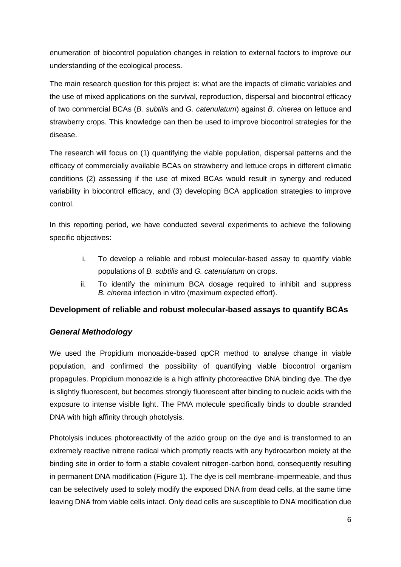enumeration of biocontrol population changes in relation to external factors to improve our understanding of the ecological process.

The main research question for this project is: what are the impacts of climatic variables and the use of mixed applications on the survival, reproduction, dispersal and biocontrol efficacy of two commercial BCAs (*B. subtilis* and *G. catenulatum*) against *B. cinerea* on lettuce and strawberry crops. This knowledge can then be used to improve biocontrol strategies for the disease.

The research will focus on (1) quantifying the viable population, dispersal patterns and the efficacy of commercially available BCAs on strawberry and lettuce crops in different climatic conditions (2) assessing if the use of mixed BCAs would result in synergy and reduced variability in biocontrol efficacy, and (3) developing BCA application strategies to improve control.

In this reporting period, we have conducted several experiments to achieve the following specific objectives:

- i. To develop a reliable and robust molecular-based assay to quantify viable populations of *B. subtilis* and *G. catenulatum* on crops.
- ii. To identify the minimum BCA dosage required to inhibit and suppress *B. cinerea* infection in vitro (maximum expected effort).

## <span id="page-7-0"></span>**Development of reliable and robust molecular-based assays to quantify BCAs**

## <span id="page-7-1"></span>*General Methodology*

<span id="page-7-2"></span>We used the Propidium monoazide-based qpCR method to analyse change in viable population, and confirmed the possibility of quantifying viable biocontrol organism propagules. Propidium monoazide is a high affinity photoreactive DNA binding dye. The dye is slightly fluorescent, but becomes strongly fluorescent after binding to nucleic acids with the exposure to intense visible light. The PMA molecule specifically binds to double stranded DNA with high affinity through photolysis.

Photolysis induces photoreactivity of the azido group on the dye and is transformed to an extremely reactive nitrene radical which promptly reacts with any hydrocarbon moiety at the binding site in order to form a stable covalent nitrogen-carbon bond, consequently resulting in permanent DNA modification (Figure 1). The dye is cell membrane-impermeable, and thus can be selectively used to solely modify the exposed DNA from dead cells, at the same time leaving DNA from viable cells intact. Only dead cells are susceptible to DNA modification due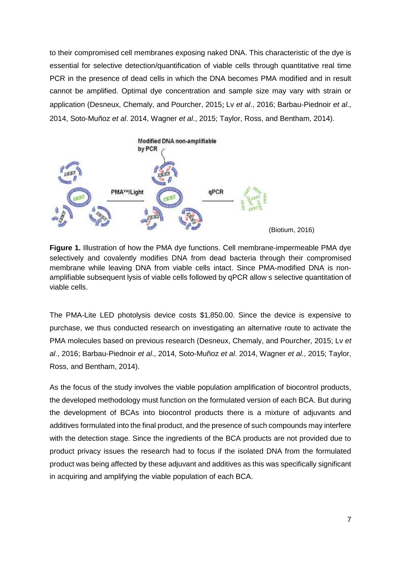to their compromised cell membranes exposing naked DNA. This characteristic of the dye is essential for selective detection/quantification of viable cells through quantitative real time PCR in the presence of dead cells in which the DNA becomes PMA modified and in result cannot be amplified. Optimal dye concentration and sample size may vary with strain or application (Desneux, Chemaly, and Pourcher, 2015; Lv *et al*., 2016; Barbau-Piednoir *et al*., 2014, Soto-Muñoz *et al*. 2014, Wagner *et al*., 2015; Taylor, Ross, and Bentham, 2014).



**Figure 1.** Illustration of how the PMA dye functions. Cell membrane-impermeable PMA dye selectively and covalently modifies DNA from dead bacteria through their compromised membrane while leaving DNA from viable cells intact. Since PMA-modified DNA is nonamplifiable subsequent lysis of viable cells followed by qPCR allow s selective quantitation of viable cells.

The PMA-Lite LED photolysis device costs \$1,850.00. Since the device is expensive to purchase, we thus conducted research on investigating an alternative route to activate the PMA molecules based on previous research (Desneux, Chemaly, and Pourcher, 2015; Lv *et al*., 2016; Barbau-Piednoir *et al*., 2014, Soto-Muñoz *et al*. 2014, Wagner *et al*., 2015; Taylor, Ross, and Bentham, 2014).

As the focus of the study involves the viable population amplification of biocontrol products, the developed methodology must function on the formulated version of each BCA. But during the development of BCAs into biocontrol products there is a mixture of adjuvants and additives formulated into the final product, and the presence of such compounds may interfere with the detection stage. Since the ingredients of the BCA products are not provided due to product privacy issues the research had to focus if the isolated DNA from the formulated product was being affected by these adjuvant and additives as this was specifically significant in acquiring and amplifying the viable population of each BCA.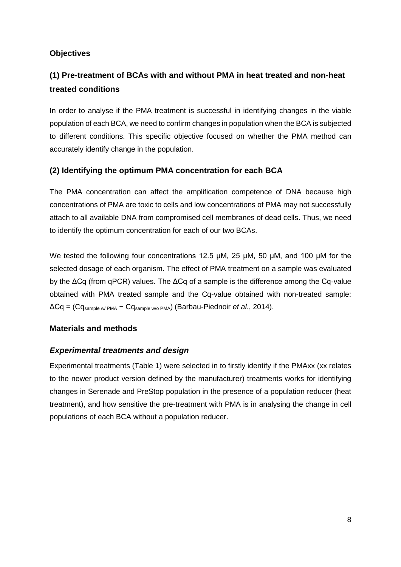## <span id="page-9-0"></span>**Objectives**

# <span id="page-9-1"></span>**(1) Pre-treatment of BCAs with and without PMA in heat treated and non-heat treated conditions**

In order to analyse if the PMA treatment is successful in identifying changes in the viable population of each BCA, we need to confirm changes in population when the BCA is subjected to different conditions. This specific objective focused on whether the PMA method can accurately identify change in the population.

## <span id="page-9-2"></span>**(2) Identifying the optimum PMA concentration for each BCA**

The PMA concentration can affect the amplification competence of DNA because high concentrations of PMA are toxic to cells and low concentrations of PMA may not successfully attach to all available DNA from compromised cell membranes of dead cells. Thus, we need to identify the optimum concentration for each of our two BCAs.

We tested the following four concentrations 12.5 μM, 25 μM, 50 μM, and 100 μM for the selected dosage of each organism. The effect of PMA treatment on a sample was evaluated by the ΔCq (from qPCR) values. The ΔCq of a sample is the difference among the Cq-value obtained with PMA treated sample and the Cq-value obtained with non-treated sample: ΔCq = (Cqsample w/ PMA − Cqsample w/o PMA) (Barbau-Piednoir *et al*., 2014).

## <span id="page-9-3"></span>**Materials and methods**

## <span id="page-9-4"></span>*Experimental treatments and design*

Experimental treatments (Table 1) were selected in to firstly identify if the PMAxx (xx relates to the newer product version defined by the manufacturer) treatments works for identifying changes in Serenade and PreStop population in the presence of a population reducer (heat treatment), and how sensitive the pre-treatment with PMA is in analysing the change in cell populations of each BCA without a population reducer.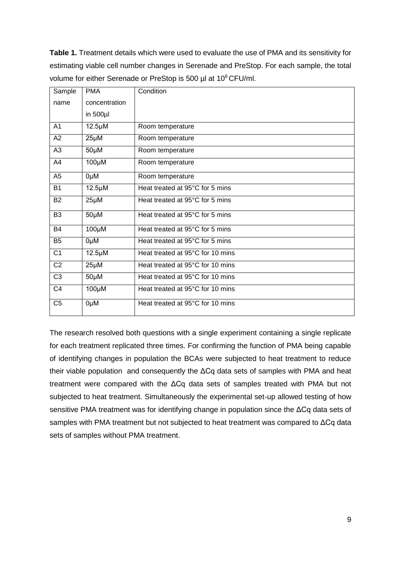**Table 1.** Treatment details which were used to evaluate the use of PMA and its sensitivity for estimating viable cell number changes in Serenade and PreStop. For each sample, the total volume for either Serenade or PreStop is 500 µl at 10<sup>8</sup> CFU/ml.

| Sample         | <b>PMA</b>    | Condition                        |
|----------------|---------------|----------------------------------|
| name           | concentration |                                  |
|                | in $500$ µl   |                                  |
| A <sub>1</sub> | $12.5 \mu M$  | Room temperature                 |
| A2             | $25\mu$ M     | Room temperature                 |
| A3             | $50\mu$ M     | Room temperature                 |
| A4             | $100\mu$ M    | Room temperature                 |
| A <sub>5</sub> | 0µM           | Room temperature                 |
| <b>B1</b>      | $12.5 \mu M$  | Heat treated at 95°C for 5 mins  |
| <b>B2</b>      | 25µM          | Heat treated at 95°C for 5 mins  |
| B <sub>3</sub> | $50 \mu M$    | Heat treated at 95°C for 5 mins  |
| <b>B4</b>      | $100\mu$ M    | Heat treated at 95°C for 5 mins  |
| B <sub>5</sub> | 0µM           | Heat treated at 95°C for 5 mins  |
| C <sub>1</sub> | $12.5 \mu M$  | Heat treated at 95°C for 10 mins |
| C <sub>2</sub> | 25µM          | Heat treated at 95°C for 10 mins |
| C <sub>3</sub> | $50 \mu M$    | Heat treated at 95°C for 10 mins |
| C <sub>4</sub> | $100\mu$ M    | Heat treated at 95°C for 10 mins |
| C <sub>5</sub> | 0µM           | Heat treated at 95°C for 10 mins |

The research resolved both questions with a single experiment containing a single replicate for each treatment replicated three times. For confirming the function of PMA being capable of identifying changes in population the BCAs were subjected to heat treatment to reduce their viable population and consequently the ΔCq data sets of samples with PMA and heat treatment were compared with the ΔCq data sets of samples treated with PMA but not subjected to heat treatment. Simultaneously the experimental set-up allowed testing of how sensitive PMA treatment was for identifying change in population since the ΔCq data sets of samples with PMA treatment but not subjected to heat treatment was compared to ΔCq data sets of samples without PMA treatment.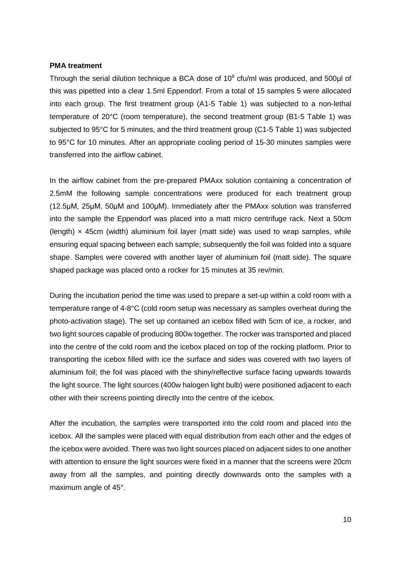#### **PMA treatment**

Through the serial dilution technique a BCA dose of  $10<sup>8</sup>$  cfu/ml was produced, and 500 $\mu$ l of this was pipetted into a clear 1.5ml Eppendorf. From a total of 15 samples 5 were allocated into each group. The first treatment group (A1-5 Table 1) was subjected to a non-lethal temperature of 20°C (room temperature), the second treatment group (B1-5 Table 1) was subjected to 95°C for 5 minutes, and the third treatment group (C1-5 Table 1) was subjected to 95°C for 10 minutes. After an appropriate cooling period of 15-30 minutes samples were transferred into the airflow cabinet.

In the airflow cabinet from the pre-prepared PMAxx solution containing a concentration of 2.5mM the following sample concentrations were produced for each treatment group (12.5μM, 25μM, 50μM and 100μM). Immediately after the PMAxx solution was transferred into the sample the Eppendorf was placed into a matt micro centrifuge rack. Next a 50cm (length)  $\times$  45cm (width) aluminium foil layer (matt side) was used to wrap samples, while ensuring equal spacing between each sample; subsequently the foil was folded into a square shape. Samples were covered with another layer of aluminium foil (matt side). The square shaped package was placed onto a rocker for 15 minutes at 35 rev/min.

During the incubation period the time was used to prepare a set-up within a cold room with a temperature range of 4-8°C (cold room setup was necessary as samples overheat during the photo-activation stage). The set up contained an icebox filled with 5cm of ice, a rocker, and two light sources capable of producing 800w together. The rocker was transported and placed into the centre of the cold room and the icebox placed on top of the rocking platform. Prior to transporting the icebox filled with ice the surface and sides was covered with two layers of aluminium foil; the foil was placed with the shiny/reflective surface facing upwards towards the light source. The light sources (400w halogen light bulb) were positioned adjacent to each other with their screens pointing directly into the centre of the icebox.

After the incubation, the samples were transported into the cold room and placed into the icebox. All the samples were placed with equal distribution from each other and the edges of the icebox were avoided. There was two light sources placed on adjacent sides to one another with attention to ensure the light sources were fixed in a manner that the screens were 20cm away from all the samples, and pointing directly downwards onto the samples with a maximum angle of 45°.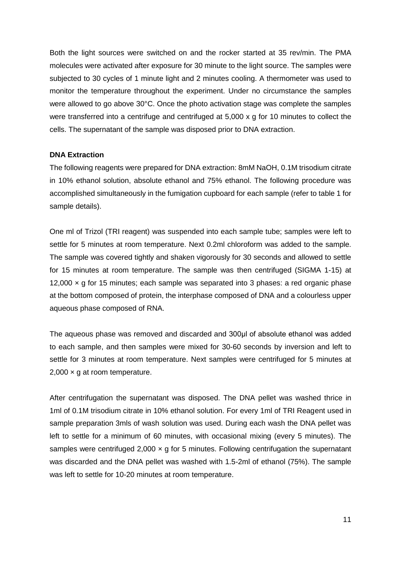Both the light sources were switched on and the rocker started at 35 rev/min. The PMA molecules were activated after exposure for 30 minute to the light source. The samples were subjected to 30 cycles of 1 minute light and 2 minutes cooling. A thermometer was used to monitor the temperature throughout the experiment. Under no circumstance the samples were allowed to go above 30°C. Once the photo activation stage was complete the samples were transferred into a centrifuge and centrifuged at 5,000 x g for 10 minutes to collect the cells. The supernatant of the sample was disposed prior to DNA extraction.

#### **DNA Extraction**

The following reagents were prepared for DNA extraction: 8mM NaOH, 0.1M trisodium citrate in 10% ethanol solution, absolute ethanol and 75% ethanol. The following procedure was accomplished simultaneously in the fumigation cupboard for each sample (refer to table 1 for sample details).

One ml of Trizol (TRI reagent) was suspended into each sample tube; samples were left to settle for 5 minutes at room temperature. Next 0.2ml chloroform was added to the sample. The sample was covered tightly and shaken vigorously for 30 seconds and allowed to settle for 15 minutes at room temperature. The sample was then centrifuged (SIGMA 1-15) at 12,000  $\times$  g for 15 minutes; each sample was separated into 3 phases: a red organic phase at the bottom composed of protein, the interphase composed of DNA and a colourless upper aqueous phase composed of RNA.

The aqueous phase was removed and discarded and 300μl of absolute ethanol was added to each sample, and then samples were mixed for 30-60 seconds by inversion and left to settle for 3 minutes at room temperature. Next samples were centrifuged for 5 minutes at  $2,000 \times a$  at room temperature.

After centrifugation the supernatant was disposed. The DNA pellet was washed thrice in 1ml of 0.1M trisodium citrate in 10% ethanol solution. For every 1ml of TRI Reagent used in sample preparation 3mls of wash solution was used. During each wash the DNA pellet was left to settle for a minimum of 60 minutes, with occasional mixing (every 5 minutes). The samples were centrifuged  $2,000 \times g$  for 5 minutes. Following centrifugation the supernatant was discarded and the DNA pellet was washed with 1.5-2ml of ethanol (75%). The sample was left to settle for 10-20 minutes at room temperature.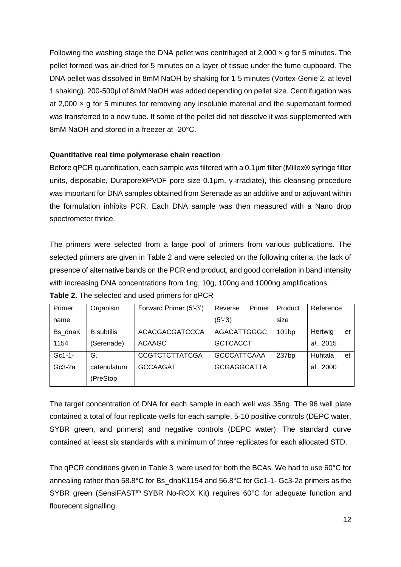Following the washing stage the DNA pellet was centrifuged at 2,000  $\times$  g for 5 minutes. The pellet formed was air-dried for 5 minutes on a layer of tissue under the fume cupboard. The DNA pellet was dissolved in 8mM NaOH by shaking for 1-5 minutes (Vortex-Genie 2, at level 1 shaking). 200-500μl of 8mM NaOH was added depending on pellet size. Centrifugation was at 2,000  $\times$  g for 5 minutes for removing any insoluble material and the supernatant formed was transferred to a new tube. If some of the pellet did not dissolve it was supplemented with 8mM NaOH and stored in a freezer at -20°C.

## **Quantitative real time polymerase chain reaction**

Before qPCR quantification, each sample was filtered with a 0.1μm filter (Millex® syringe filter units, disposable, Durapore®PVDF pore size 0.1μm, γ-irradiate), this cleansing procedure was important for DNA samples obtained from Serenade as an additive and or adjuvant within the formulation inhibits PCR. Each DNA sample was then measured with a Nano drop spectrometer thrice.

The primers were selected from a large pool of primers from various publications. The selected primers are given in Table 2 and were selected on the following criteria: the lack of presence of alternative bands on the PCR end product, and good correlation in band intensity with increasing DNA concentrations from 1ng, 10g, 100ng and 1000ng amplifications. **Table 2.** The selected and used primers for qPCR

| Primer   | Organism          | Forward Primer (5'-3') | Primer<br>Reverse  | Product | Reference     |
|----------|-------------------|------------------------|--------------------|---------|---------------|
| name     |                   |                        | $(5'-3)$           | size    |               |
| Bs dnaK  | <b>B.subtilis</b> | <b>ACACGACGATCCCA</b>  | AGACATTGGGC        | 101bp   | Hertwig<br>et |
| 1154     | (Serenade)        | <b>ACAAGC</b>          | <b>GCTCACCT</b>    |         | al., 2015     |
| $Gc1-1-$ | G.                | <b>CCGTCTCTTATCGA</b>  | <b>GCCCATTCAAA</b> | 237bp   | Huhtala<br>et |
| $Gc3-2a$ | catenulatum       | <b>GCCAAGAT</b>        | <b>GCGAGGCATTA</b> |         | al., 2000     |
|          | (PreStop          |                        |                    |         |               |

The target concentration of DNA for each sample in each well was 35ng. The 96 well plate contained a total of four replicate wells for each sample, 5-10 positive controls (DEPC water, SYBR green, and primers) and negative controls (DEPC water). The standard curve contained at least six standards with a minimum of three replicates for each allocated STD.

The qPCR conditions given in Table 3 were used for both the BCAs. We had to use 60°C for annealing rather than 58.8°C for Bs\_dnaK1154 and 56.8°C for Gc1-1- Gc3-2a primers as the SYBR green (SensiFAST<sup>tm</sup> SYBR No-ROX Kit) requires 60°C for adequate function and flourecent signalling.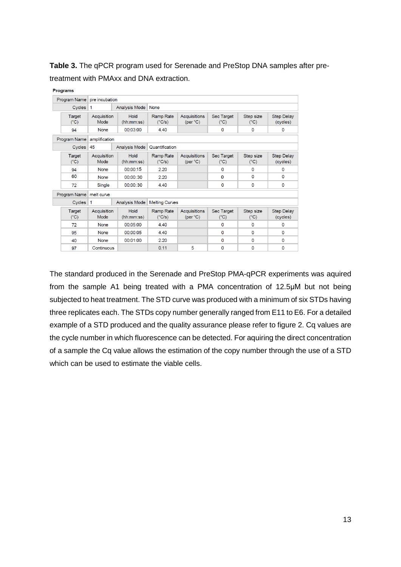**Table 3.** The qPCR program used for Serenade and PreStop DNA samples after pretreatment with PMAxx and DNA extraction.

|              | <b>Programs</b>         |                     |                    |                                     |                                           |                                    |                            |                               |  |  |
|--------------|-------------------------|---------------------|--------------------|-------------------------------------|-------------------------------------------|------------------------------------|----------------------------|-------------------------------|--|--|
| Program Name |                         | pre incubation      |                    |                                     |                                           |                                    |                            |                               |  |  |
| Cycles       |                         | 1                   | Analysis Mode None |                                     |                                           |                                    |                            |                               |  |  |
|              | Target<br>$(^{\circ}C)$ | Acquisition<br>Mode | Hold<br>(hh:mm:ss) | Ramp Rate<br>$(^{\circ}C/s)$        | Acquisitions<br>(per °C)                  | <b>Sec Target</b><br>$(^{\circ}C)$ | Step size<br>$(^{\circ}C)$ | <b>Step Delay</b><br>(cycles) |  |  |
|              | 94                      | None                | 00:03:00           | 4.40                                | 0                                         |                                    | $\mathbf 0$                | 0                             |  |  |
|              | Program Name            | amplification       |                    |                                     |                                           |                                    |                            |                               |  |  |
|              | Cycles                  | 45                  | Analysis Mode      | Quantification                      |                                           |                                    |                            |                               |  |  |
|              | Target<br>$(^{\circ}C)$ | Acquisition<br>Mode | Hold<br>(hh:mm:ss) | <b>Ramp Rate</b><br>$(^{\circ}C/s)$ | <b>Acquisitions</b><br>(per $^{\circ}$ C) | <b>Sec Target</b><br>$(^{\circ}C)$ | Step size<br>$(^{\circ}C)$ | <b>Step Delay</b><br>(cycles) |  |  |
|              | 94                      | <b>None</b>         | 00:00:15           | 2.20                                |                                           | $\Omega$                           | $\Omega$                   | $\mathbf 0$                   |  |  |
|              | 60                      | <b>None</b>         | 00:00:30           | 2.20                                |                                           | $\Omega$                           | $\mathbf 0$                | $\mathbf 0$                   |  |  |
|              | 72                      | Single              | 00:00:30           | 4.40                                |                                           |                                    | $\mathbf 0$                | 0                             |  |  |
|              | Program Name            | melt curve          |                    |                                     |                                           |                                    |                            |                               |  |  |
|              | Cycles                  | $\mathbf{1}$        | Analysis Mode      | <b>Melting Curves</b>               |                                           |                                    |                            |                               |  |  |
|              | Target<br>$(^{\circ}C)$ | Acquisition<br>Mode | Hold<br>(hh:mm:ss) | Ramp Rate<br>$(^{\circ}C/s)$        | Acquisitions<br>(per °C)                  | Sec Target<br>$(^{\circ}C)$        | Step size<br>$(^{\circ}C)$ | <b>Step Delay</b><br>(cycles) |  |  |
|              | 72                      | None                | 00:05:00           | 4.40                                |                                           | $\Omega$                           | $\Omega$                   | 0                             |  |  |
|              | 95                      | None                | 00:00:05           | 4.40                                |                                           | 0                                  | $\Omega$                   | 0                             |  |  |
|              | 40                      | None                | 00:01:00           | 2.20                                |                                           | $\Omega$                           | $\mathbf{0}$               | 0                             |  |  |
|              | 97                      | Continuous          |                    | 0.11                                | 5                                         | $\Omega$                           | $\Omega$                   | 0                             |  |  |

The standard produced in the Serenade and PreStop PMA-qPCR experiments was aquired from the sample A1 being treated with a PMA concentration of 12.5μM but not being subjected to heat treatment. The STD curve was produced with a minimum of six STDs having three replicates each. The STDs copy number generally ranged from E11 to E6. For a detailed example of a STD produced and the quality assurance please refer to figure 2. Cq values are the cycle number in which fluorescence can be detected. For aquiring the direct concentration of a sample the Cq value allows the estimation of the copy number through the use of a STD which can be used to estimate the viable cells.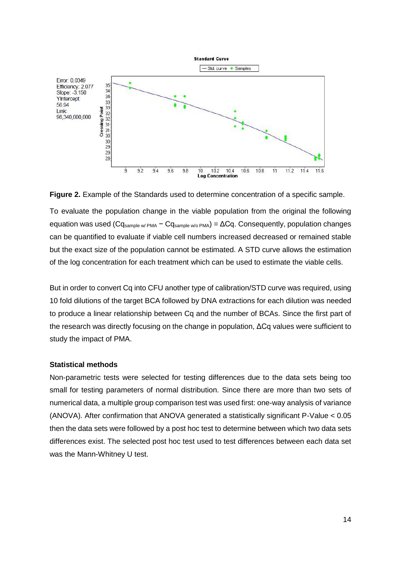

**Figure 2.** Example of the Standards used to determine concentration of a specific sample.

To evaluate the population change in the viable population from the original the following equation was used ( $Cq<sub>sample w/PMA</sub> - Cq<sub>sample w/o PMA</sub>$ ) =  $\Delta Cq$ . Consequently, population changes can be quantified to evaluate if viable cell numbers increased decreased or remained stable but the exact size of the population cannot be estimated. A STD curve allows the estimation of the log concentration for each treatment which can be used to estimate the viable cells.

But in order to convert Cq into CFU another type of calibration/STD curve was required, using 10 fold dilutions of the target BCA followed by DNA extractions for each dilution was needed to produce a linear relationship between Cq and the number of BCAs. Since the first part of the research was directly focusing on the change in population, ΔCq values were sufficient to study the impact of PMA.

#### **Statistical methods**

Non-parametric tests were selected for testing differences due to the data sets being too small for testing parameters of normal distribution. Since there are more than two sets of numerical data, a multiple group comparison test was used first: one-way analysis of variance (ANOVA). After confirmation that ANOVA generated a statistically significant P-Value < 0.05 then the data sets were followed by a post hoc test to determine between which two data sets differences exist. The selected post hoc test used to test differences between each data set was the Mann-Whitney U test.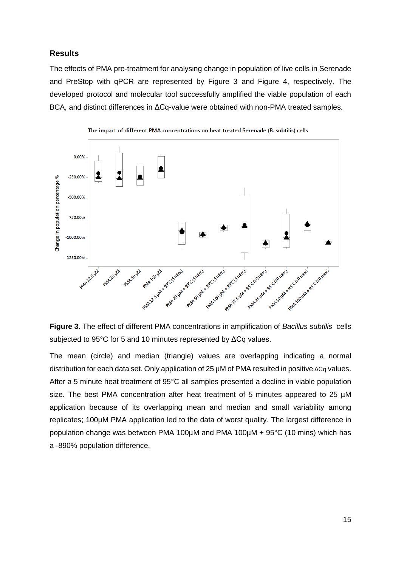## <span id="page-16-0"></span>**Results**

The effects of PMA pre-treatment for analysing change in population of live cells in Serenade and PreStop with qPCR are represented by Figure 3 and Figure 4, respectively. The developed protocol and molecular tool successfully amplified the viable population of each BCA, and distinct differences in ΔCq-value were obtained with non-PMA treated samples.





**Figure 3.** The effect of different PMA concentrations in amplification of *Bacillus subtilis* cells subjected to 95°C for 5 and 10 minutes represented by ΔCq values.

The mean (circle) and median (triangle) values are overlapping indicating a normal distribution for each data set. Only application of 25 µM of PMA resulted in positive ΔCq values. After a 5 minute heat treatment of 95°C all samples presented a decline in viable population size. The best PMA concentration after heat treatment of 5 minutes appeared to 25 µM application because of its overlapping mean and median and small variability among replicates; 100µM PMA application led to the data of worst quality. The largest difference in population change was between PMA 100µM and PMA 100µM + 95°C (10 mins) which has a -890% population difference.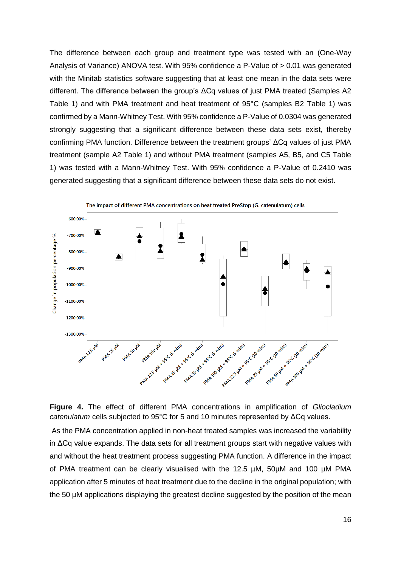The difference between each group and treatment type was tested with an (One-Way Analysis of Variance) ANOVA test. With 95% confidence a P-Value of > 0.01 was generated with the Minitab statistics software suggesting that at least one mean in the data sets were different. The difference between the group's ΔCq values of just PMA treated (Samples A2 Table 1) and with PMA treatment and heat treatment of 95°C (samples B2 Table 1) was confirmed by a Mann-Whitney Test. With 95% confidence a P-Value of 0.0304 was generated strongly suggesting that a significant difference between these data sets exist, thereby confirming PMA function. Difference between the treatment groups' ΔCq values of just PMA treatment (sample A2 Table 1) and without PMA treatment (samples A5, B5, and C5 Table 1) was tested with a Mann-Whitney Test. With 95% confidence a P-Value of 0.2410 was generated suggesting that a significant difference between these data sets do not exist.





**Figure 4.** The effect of different PMA concentrations in amplification of *Gliocladium catenulatum* cells subjected to 95°C for 5 and 10 minutes represented by ΔCq values.

As the PMA concentration applied in non-heat treated samples was increased the variability in ΔCq value expands. The data sets for all treatment groups start with negative values with and without the heat treatment process suggesting PMA function. A difference in the impact of PMA treatment can be clearly visualised with the 12.5 µM, 50µM and 100 µM PMA application after 5 minutes of heat treatment due to the decline in the original population; with the 50 µM applications displaying the greatest decline suggested by the position of the mean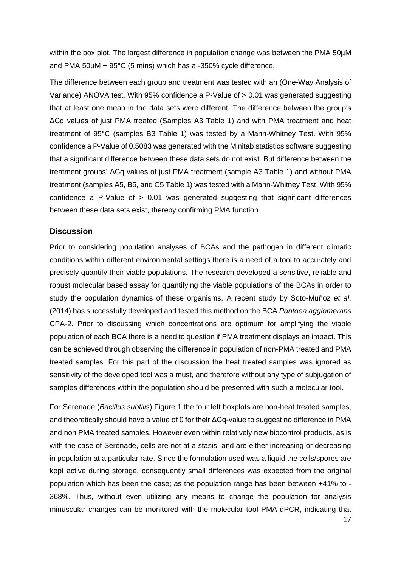within the box plot. The largest difference in population change was between the PMA 50µM and PMA 50µM + 95°C (5 mins) which has a -350% cycle difference.

The difference between each group and treatment was tested with an (One-Way Analysis of Variance) ANOVA test. With 95% confidence a P-Value of > 0.01 was generated suggesting that at least one mean in the data sets were different. The difference between the group's ΔCq values of just PMA treated (Samples A3 Table 1) and with PMA treatment and heat treatment of 95°C (samples B3 Table 1) was tested by a Mann-Whitney Test. With 95% confidence a P-Value of 0.5083 was generated with the Minitab statistics software suggesting that a significant difference between these data sets do not exist. But difference between the treatment groups' ΔCq values of just PMA treatment (sample A3 Table 1) and without PMA treatment (samples A5, B5, and C5 Table 1) was tested with a Mann-Whitney Test. With 95% confidence a P-Value of  $> 0.01$  was generated suggesting that significant differences between these data sets exist, thereby confirming PMA function.

#### <span id="page-18-0"></span>**Discussion**

Prior to considering population analyses of BCAs and the pathogen in different climatic conditions within different environmental settings there is a need of a tool to accurately and precisely quantify their viable populations. The research developed a sensitive, reliable and robust molecular based assay for quantifying the viable populations of the BCAs in order to study the population dynamics of these organisms. A recent study by Soto-Muñoz *et al*. (2014) has successfully developed and tested this method on the BCA *Pantoea agglomerans* CPA-2. Prior to discussing which concentrations are optimum for amplifying the viable population of each BCA there is a need to question if PMA treatment displays an impact. This can be achieved through observing the difference in population of non-PMA treated and PMA treated samples. For this part of the discussion the heat treated samples was ignored as sensitivity of the developed tool was a must, and therefore without any type of subjugation of samples differences within the population should be presented with such a molecular tool.

For Serenade (*Bacillus subtilis*) Figure 1 the four left boxplots are non-heat treated samples, and theoretically should have a value of 0 for their ΔCq-value to suggest no difference in PMA and non PMA treated samples. However even within relatively new biocontrol products, as is with the case of Serenade, cells are not at a stasis, and are either increasing or decreasing in population at a particular rate. Since the formulation used was a liquid the cells/spores are kept active during storage, consequently small differences was expected from the original population which has been the case; as the population range has been between +41% to - 368%. Thus, without even utilizing any means to change the population for analysis minuscular changes can be monitored with the molecular tool PMA-qPCR, indicating that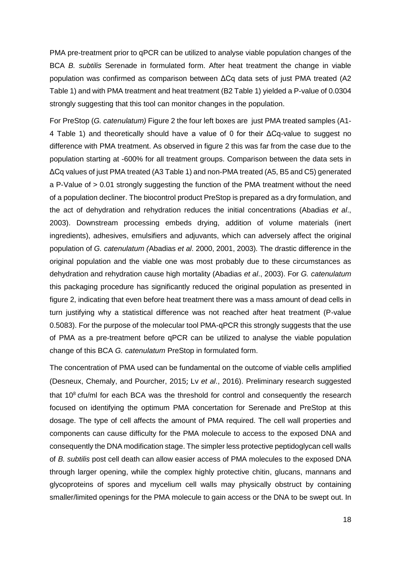PMA pre-treatment prior to qPCR can be utilized to analyse viable population changes of the BCA *B. subtilis* Serenade in formulated form. After heat treatment the change in viable population was confirmed as comparison between ΔCq data sets of just PMA treated (A2 Table 1) and with PMA treatment and heat treatment (B2 Table 1) yielded a P-value of 0.0304 strongly suggesting that this tool can monitor changes in the population.

For PreStop (*G. catenulatum)* Figure 2 the four left boxes are just PMA treated samples (A1- 4 Table 1) and theoretically should have a value of 0 for their ΔCq-value to suggest no difference with PMA treatment. As observed in figure 2 this was far from the case due to the population starting at -600% for all treatment groups. Comparison between the data sets in ΔCq values of just PMA treated (A3 Table 1) and non-PMA treated (A5, B5 and C5) generated a P-Value of > 0.01 strongly suggesting the function of the PMA treatment without the need of a population decliner. The biocontrol product PreStop is prepared as a dry formulation, and the act of dehydration and rehydration reduces the initial concentrations (Abadias *et al*., 2003). Downstream processing embeds drying, addition of volume materials (inert ingredients), adhesives, emulsifiers and adjuvants, which can adversely affect the original population of *G. catenulatum (*Abadias *et al*. 2000, 2001, 2003)*.* The drastic difference in the original population and the viable one was most probably due to these circumstances as dehydration and rehydration cause high mortality (Abadias *et al*., 2003). For *G. catenulatum* this packaging procedure has significantly reduced the original population as presented in figure 2, indicating that even before heat treatment there was a mass amount of dead cells in turn justifying why a statistical difference was not reached after heat treatment (P-value 0.5083). For the purpose of the molecular tool PMA-qPCR this strongly suggests that the use of PMA as a pre-treatment before qPCR can be utilized to analyse the viable population change of this BCA *G. catenulatum* PreStop in formulated form.

The concentration of PMA used can be fundamental on the outcome of viable cells amplified (Desneux, Chemaly, and Pourcher, 2015; Lv *et al*., 2016). Preliminary research suggested that  $10<sup>8</sup>$  cfu/ml for each BCA was the threshold for control and consequently the research focused on identifying the optimum PMA concertation for Serenade and PreStop at this dosage. The type of cell affects the amount of PMA required. The cell wall properties and components can cause difficulty for the PMA molecule to access to the exposed DNA and consequently the DNA modification stage. The simpler less protective peptidoglycan cell walls of *B. subtilis* post cell death can allow easier access of PMA molecules to the exposed DNA through larger opening, while the complex highly protective chitin, glucans, mannans and glycoproteins of spores and mycelium cell walls may physically obstruct by containing smaller/limited openings for the PMA molecule to gain access or the DNA to be swept out. In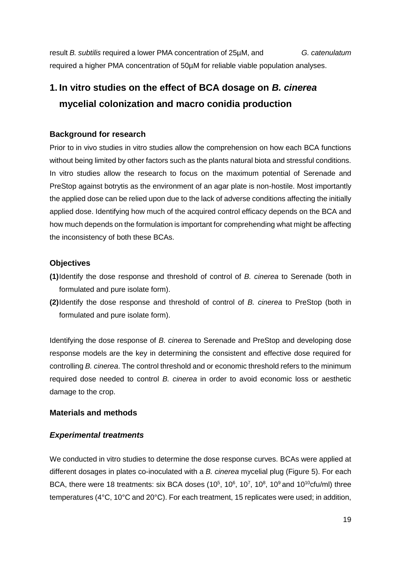result *B. subtilis* required a lower PMA concentration of 25µM, and *G. catenulatum* required a higher PMA concentration of 50µM for reliable viable population analyses.

# **1. In vitro studies on the effect of BCA dosage on** *B. cinerea* **mycelial colonization and macro conidia production**

## **Background for research**

Prior to in vivo studies in vitro studies allow the comprehension on how each BCA functions without being limited by other factors such as the plants natural biota and stressful conditions. In vitro studies allow the research to focus on the maximum potential of Serenade and PreStop against botrytis as the environment of an agar plate is non-hostile. Most importantly the applied dose can be relied upon due to the lack of adverse conditions affecting the initially applied dose. Identifying how much of the acquired control efficacy depends on the BCA and how much depends on the formulation is important for comprehending what might be affecting the inconsistency of both these BCAs.

## **Objectives**

- **(1)**Identify the dose response and threshold of control of *B. cinerea* to Serenade (both in formulated and pure isolate form).
- **(2)**Identify the dose response and threshold of control of *B. cinerea* to PreStop (both in formulated and pure isolate form).

Identifying the dose response of *B. cinerea* to Serenade and PreStop and developing dose response models are the key in determining the consistent and effective dose required for controlling *B. cinerea*. The control threshold and or economic threshold refers to the minimum required dose needed to control *B. cinerea* in order to avoid economic loss or aesthetic damage to the crop.

## <span id="page-20-0"></span>**Materials and methods**

## <span id="page-20-1"></span>*Experimental treatments*

We conducted in vitro studies to determine the dose response curves. BCAs were applied at different dosages in plates co-inoculated with a *B. cinerea* mycelial plug (Figure 5). For each BCA, there were 18 treatments: six BCA doses (10<sup>5</sup>, 10<sup>6</sup>, 10<sup>7</sup>, 10<sup>8</sup>, 10<sup>9</sup> and 10<sup>10</sup>cfu/ml) three temperatures (4°C, 10°C and 20°C). For each treatment, 15 replicates were used; in addition,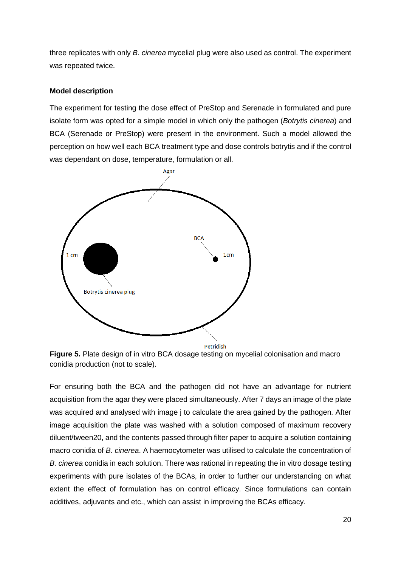three replicates with only *B. cinerea* mycelial plug were also used as control. The experiment was repeated twice.

#### **Model description**

The experiment for testing the dose effect of PreStop and Serenade in formulated and pure isolate form was opted for a simple model in which only the pathogen (*Botrytis cinerea*) and BCA (Serenade or PreStop) were present in the environment. Such a model allowed the perception on how well each BCA treatment type and dose controls botrytis and if the control was dependant on dose, temperature, formulation or all.



**Figure 5.** Plate design of in vitro BCA dosage testing on mycelial colonisation and macro conidia production (not to scale).

For ensuring both the BCA and the pathogen did not have an advantage for nutrient acquisition from the agar they were placed simultaneously. After 7 days an image of the plate was acquired and analysed with image j to calculate the area gained by the pathogen. After image acquisition the plate was washed with a solution composed of maximum recovery diluent/tween20, and the contents passed through filter paper to acquire a solution containing macro conidia of *B. cinerea*. A haemocytometer was utilised to calculate the concentration of *B. cinerea* conidia in each solution. There was rational in repeating the in vitro dosage testing experiments with pure isolates of the BCAs, in order to further our understanding on what extent the effect of formulation has on control efficacy. Since formulations can contain additives, adjuvants and etc., which can assist in improving the BCAs efficacy.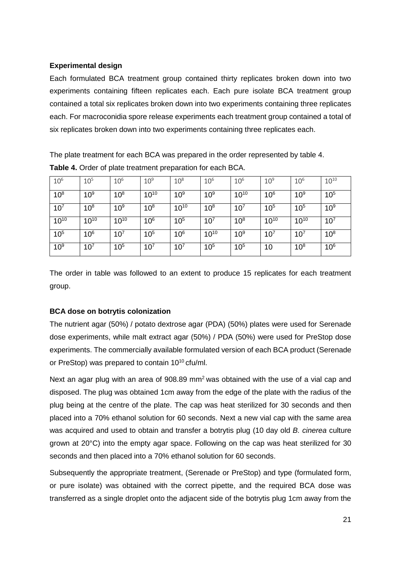## **Experimental design**

Each formulated BCA treatment group contained thirty replicates broken down into two experiments containing fifteen replicates each. Each pure isolate BCA treatment group contained a total six replicates broken down into two experiments containing three replicates each. For macroconidia spore release experiments each treatment group contained a total of six replicates broken down into two experiments containing three replicates each.

The plate treatment for each BCA was prepared in the order represented by table 4. **Table 4.** Order of plate treatment preparation for each BCA.

| 10 <sup>6</sup> | $10^{5}$        | 10 <sup>6</sup> | $10^9$          | 10 <sup>8</sup> | 10 <sup>6</sup> | 10 <sup>6</sup> | 10 <sup>9</sup> | 10 <sup>6</sup> | $10^{10}$       |
|-----------------|-----------------|-----------------|-----------------|-----------------|-----------------|-----------------|-----------------|-----------------|-----------------|
| 10 <sup>8</sup> | 10 <sup>9</sup> | $10^{8}$        | $10^{10}$       | 10 <sup>9</sup> | 10 <sup>9</sup> | $10^{10}$       | 10 <sup>6</sup> | 10 <sup>9</sup> | $10^{5}$        |
| $10^{7}$        | 10 <sup>8</sup> | 10 <sup>9</sup> | $10^{8}$        | $10^{10}$       | 10 <sup>8</sup> | $10^{7}$        | $10^{5}$        | $10^{5}$        | 10 <sup>9</sup> |
| $10^{10}$       | $10^{10}$       | $10^{10}$       | 10 <sup>6</sup> | 10 <sup>5</sup> | $10^{7}$        | $10^{8}$        | $10^{10}$       | $10^{10}$       | $10^{7}$        |
| 10 <sup>5</sup> | 10 <sup>6</sup> | $10^{7}$        | $10^{5}$        | 10 <sup>6</sup> | $10^{10}$       | 10 <sup>9</sup> | $10^{7}$        | $10^{7}$        | $10^8$          |
| 10 <sup>9</sup> | $10^{7}$        | $10^{5}$        | $10^{7}$        | $10^{7}$        | $10^{5}$        | $10^{5}$        | 10              | 10 <sup>8</sup> | 10 <sup>6</sup> |

The order in table was followed to an extent to produce 15 replicates for each treatment group.

## **BCA dose on botrytis colonization**

The nutrient agar (50%) / potato dextrose agar (PDA) (50%) plates were used for Serenade dose experiments, while malt extract agar (50%) / PDA (50%) were used for PreStop dose experiments. The commercially available formulated version of each BCA product (Serenade or PreStop) was prepared to contain  $10^{10}$  cfu/ml.

Next an agar plug with an area of 908.89 mm<sup>2</sup> was obtained with the use of a vial cap and disposed. The plug was obtained 1cm away from the edge of the plate with the radius of the plug being at the centre of the plate. The cap was heat sterilized for 30 seconds and then placed into a 70% ethanol solution for 60 seconds. Next a new vial cap with the same area was acquired and used to obtain and transfer a botrytis plug (10 day old *B. cinerea* culture grown at 20°C) into the empty agar space. Following on the cap was heat sterilized for 30 seconds and then placed into a 70% ethanol solution for 60 seconds.

Subsequently the appropriate treatment, (Serenade or PreStop) and type (formulated form, or pure isolate) was obtained with the correct pipette, and the required BCA dose was transferred as a single droplet onto the adjacent side of the botrytis plug 1cm away from the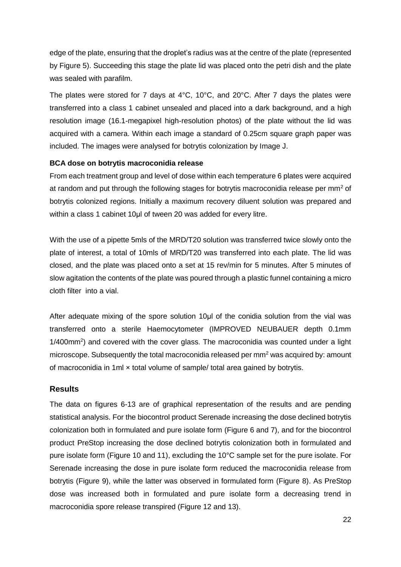edge of the plate, ensuring that the droplet's radius was at the centre of the plate (represented by Figure 5). Succeeding this stage the plate lid was placed onto the petri dish and the plate was sealed with parafilm.

The plates were stored for 7 days at 4°C, 10°C, and 20°C. After 7 days the plates were transferred into a class 1 cabinet unsealed and placed into a dark background, and a high resolution image (16.1-megapixel high-resolution photos) of the plate without the lid was acquired with a camera. Within each image a standard of 0.25cm square graph paper was included. The images were analysed for botrytis colonization by Image J.

## **BCA dose on botrytis macroconidia release**

From each treatment group and level of dose within each temperature 6 plates were acquired at random and put through the following stages for botrytis macroconidia release per mm<sup>2</sup> of botrytis colonized regions. Initially a maximum recovery diluent solution was prepared and within a class 1 cabinet 10µl of tween 20 was added for every litre.

With the use of a pipette 5mls of the MRD/T20 solution was transferred twice slowly onto the plate of interest, a total of 10mls of MRD/T20 was transferred into each plate. The lid was closed, and the plate was placed onto a set at 15 rev/min for 5 minutes. After 5 minutes of slow agitation the contents of the plate was poured through a plastic funnel containing a micro cloth filter into a vial.

After adequate mixing of the spore solution 10μl of the conidia solution from the vial was transferred onto a sterile Haemocytometer (IMPROVED NEUBAUER depth 0.1mm 1/400mm<sup>2</sup>) and covered with the cover glass. The macroconidia was counted under a light microscope. Subsequently the total macroconidia released per  $mm<sup>2</sup>$  was acquired by: amount of macroconidia in 1ml  $\times$  total volume of sample/ total area gained by botrytis.

## <span id="page-23-0"></span>**Results**

The data on figures 6-13 are of graphical representation of the results and are pending statistical analysis. For the biocontrol product Serenade increasing the dose declined botrytis colonization both in formulated and pure isolate form (Figure 6 and 7), and for the biocontrol product PreStop increasing the dose declined botrytis colonization both in formulated and pure isolate form (Figure 10 and 11), excluding the 10°C sample set for the pure isolate. For Serenade increasing the dose in pure isolate form reduced the macroconidia release from botrytis (Figure 9), while the latter was observed in formulated form (Figure 8). As PreStop dose was increased both in formulated and pure isolate form a decreasing trend in macroconidia spore release transpired (Figure 12 and 13).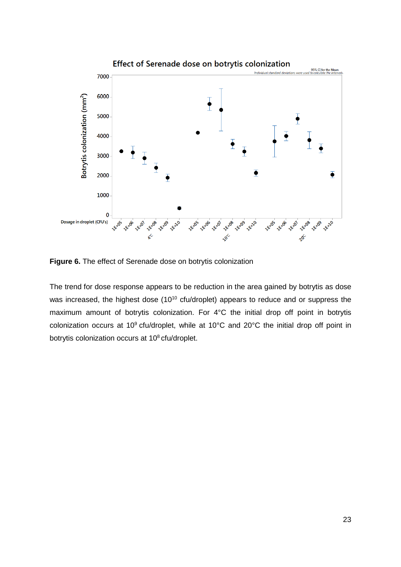

**Figure 6.** The effect of Serenade dose on botrytis colonization

The trend for dose response appears to be reduction in the area gained by botrytis as dose was increased, the highest dose (10<sup>10</sup> cfu/droplet) appears to reduce and or suppress the maximum amount of botrytis colonization. For 4°C the initial drop off point in botrytis colonization occurs at 10<sup>9</sup> cfu/droplet, while at 10°C and 20°C the initial drop off point in botrytis colonization occurs at 10<sup>8</sup> cfu/droplet.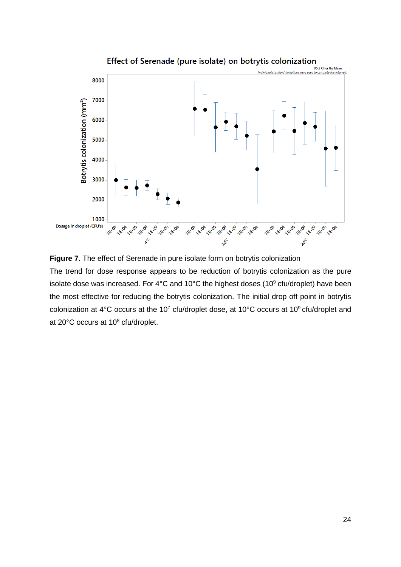

Effect of Serenade (pure isolate) on botrytis colonization



The trend for dose response appears to be reduction of botrytis colonization as the pure isolate dose was increased. For 4°C and 10°C the highest doses (10° cfu/droplet) have been the most effective for reducing the botrytis colonization. The initial drop off point in botrytis colonization at 4°C occurs at the 10<sup>7</sup> cfu/droplet dose, at 10°C occurs at 10° cfu/droplet and at 20°C occurs at 10<sup>8</sup> cfu/droplet.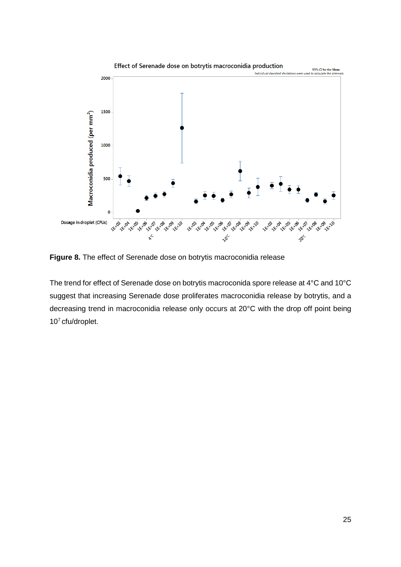

**Figure 8.** The effect of Serenade dose on botrytis macroconidia release

The trend for effect of Serenade dose on botrytis macroconida spore release at 4°C and 10°C suggest that increasing Serenade dose proliferates macroconidia release by botrytis, and a decreasing trend in macroconidia release only occurs at 20°C with the drop off point being 107 cfu/droplet.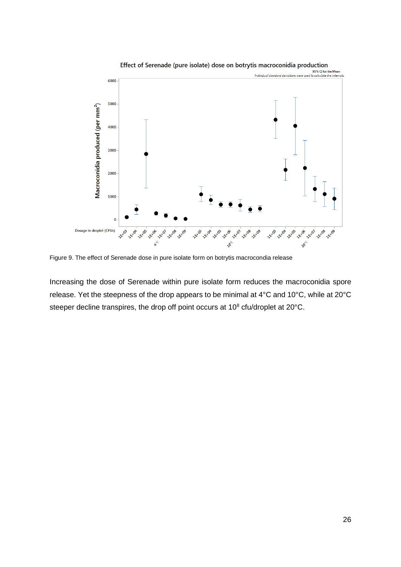

Figure 9. The effect of Serenade dose in pure isolate form on botrytis macrocondia release

Increasing the dose of Serenade within pure isolate form reduces the macroconidia spore release. Yet the steepness of the drop appears to be minimal at 4°C and 10°C, while at 20°C steeper decline transpires, the drop off point occurs at 10<sup>8</sup> cfu/droplet at 20°C.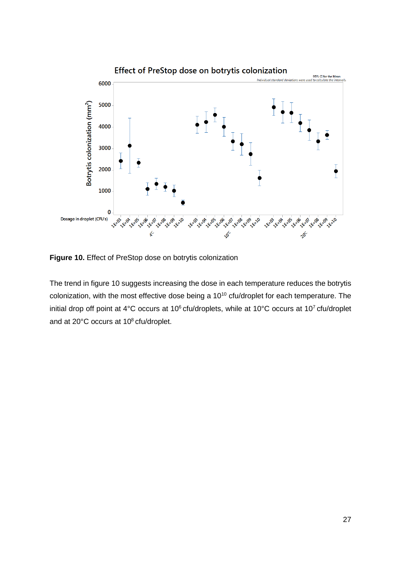

**Figure 10.** Effect of PreStop dose on botrytis colonization

The trend in figure 10 suggests increasing the dose in each temperature reduces the botrytis colonization, with the most effective dose being a  $10^{10}$  cfu/droplet for each temperature. The initial drop off point at 4°C occurs at 10<sup>6</sup> cfu/droplets, while at 10°C occurs at 10<sup>7</sup> cfu/droplet and at 20°C occurs at 10<sup>8</sup> cfu/droplet.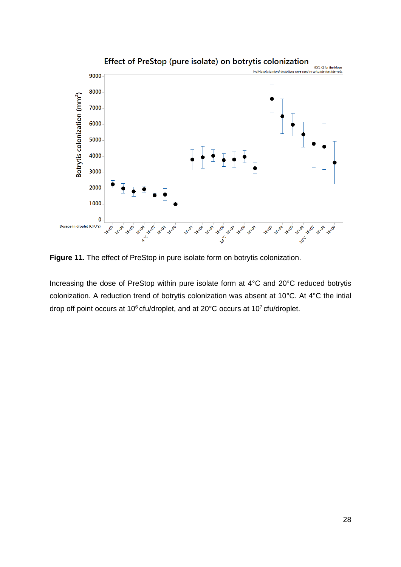

**Figure 11.** The effect of PreStop in pure isolate form on botrytis colonization.

Increasing the dose of PreStop within pure isolate form at 4°C and 20°C reduced botrytis colonization. A reduction trend of botrytis colonization was absent at 10°C. At 4°C the intial drop off point occurs at 10 $^6$  cfu/droplet, and at 20 $^{\circ}$ C occurs at 10<sup>7</sup> cfu/droplet.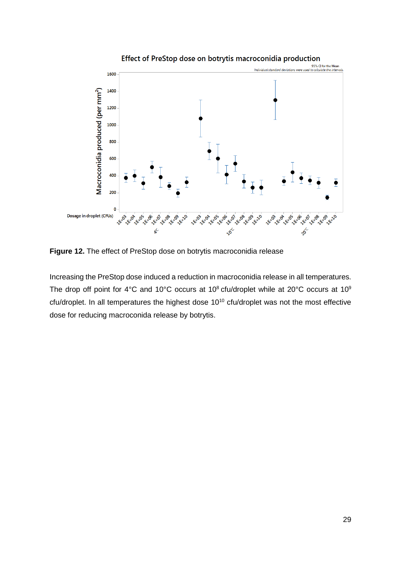

Effect of PreStop dose on botrytis macroconidia production

**Figure 12.** The effect of PreStop dose on botrytis macroconidia release

Increasing the PreStop dose induced a reduction in macroconidia release in all temperatures. The drop off point for 4°C and 10°C occurs at 10<sup>8</sup> cfu/droplet while at 20°C occurs at 10<sup>9</sup> cfu/droplet. In all temperatures the highest dose 10<sup>10</sup> cfu/droplet was not the most effective dose for reducing macroconida release by botrytis.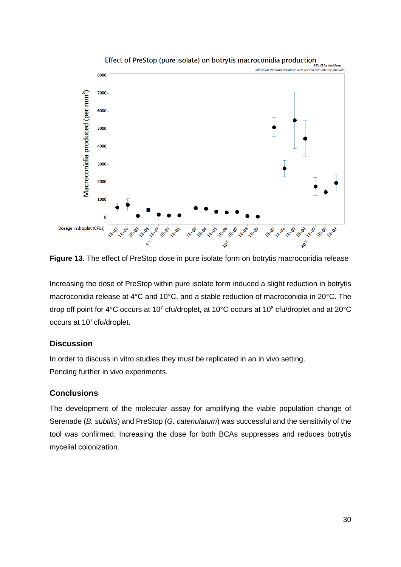

**Figure 13.** The effect of PreStop dose in pure isolate form on botrytis macroconidia release

Increasing the dose of PreStop within pure isolate form induced a slight reduction in botrytis macroconidia release at 4°C and 10°C, and a stable reduction of macroconidia in 20°C. The drop off point for 4°C occurs at 10<sup>7</sup> cfu/droplet, at 10°C occurs at 10<sup>8</sup> cfu/droplet and at 20°C occurs at 10<sup>7</sup> cfu/droplet.

## <span id="page-31-0"></span>**Discussion**

In order to discuss in vitro studies they must be replicated in an in vivo setting. Pending further in vivo experiments.

## <span id="page-31-1"></span>**Conclusions**

The development of the molecular assay for amplifying the viable population change of Serenade (*B. subtilis*) and PreStop (*G. catenulatum*) was successful and the sensitivity of the tool was confirmed. Increasing the dose for both BCAs suppresses and reduces botrytis mycelial colonization.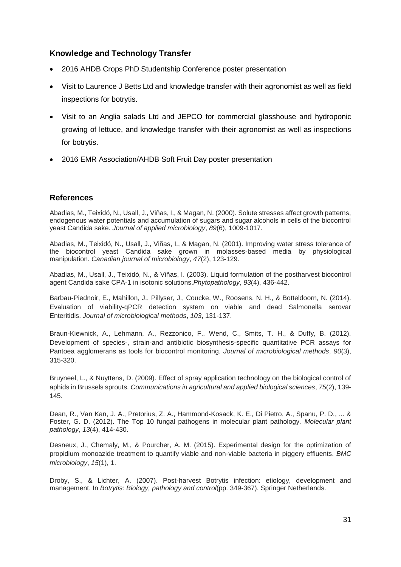## <span id="page-32-0"></span>**Knowledge and Technology Transfer**

- 2016 AHDB Crops PhD Studentship Conference poster presentation
- Visit to Laurence J Betts Ltd and knowledge transfer with their agronomist as well as field inspections for botrytis.
- Visit to an Anglia salads Ltd and JEPCO for commercial glasshouse and hydroponic growing of lettuce, and knowledge transfer with their agronomist as well as inspections for botrytis.
- 2016 EMR Association/AHDB Soft Fruit Day poster presentation

## <span id="page-32-1"></span>**References**

Abadias, M., Teixidó, N., Usall, J., Viñas, I., & Magan, N. (2000). Solute stresses affect growth patterns, endogenous water potentials and accumulation of sugars and sugar alcohols in cells of the biocontrol yeast Candida sake. *Journal of applied microbiology*, *89*(6), 1009-1017.

Abadias, M., Teixidó, N., Usall, J., Viñas, I., & Magan, N. (2001). Improving water stress tolerance of the biocontrol yeast Candida sake grown in molasses-based media by physiological manipulation. *Canadian journal of microbiology*, *47*(2), 123-129.

Abadias, M., Usall, J., Teixidó, N., & Viñas, I. (2003). Liquid formulation of the postharvest biocontrol agent Candida sake CPA-1 in isotonic solutions.*Phytopathology*, *93*(4), 436-442.

Barbau-Piednoir, E., Mahillon, J., Pillyser, J., Coucke, W., Roosens, N. H., & Botteldoorn, N. (2014). Evaluation of viability-qPCR detection system on viable and dead Salmonella serovar Enteritidis. *Journal of microbiological methods*, *103*, 131-137.

Braun-Kiewnick, A., Lehmann, A., Rezzonico, F., Wend, C., Smits, T. H., & Duffy, B. (2012). Development of species-, strain-and antibiotic biosynthesis-specific quantitative PCR assays for Pantoea agglomerans as tools for biocontrol monitoring. *Journal of microbiological methods*, *90*(3), 315-320.

Bruyneel, L., & Nuyttens, D. (2009). Effect of spray application technology on the biological control of aphids in Brussels sprouts. *Communications in agricultural and applied biological sciences*, *75*(2), 139- 145.

Dean, R., Van Kan, J. A., Pretorius, Z. A., Hammond‐Kosack, K. E., Di Pietro, A., Spanu, P. D., ... & Foster, G. D. (2012). The Top 10 fungal pathogens in molecular plant pathology. *Molecular plant pathology*, *13*(4), 414-430.

Desneux, J., Chemaly, M., & Pourcher, A. M. (2015). Experimental design for the optimization of propidium monoazide treatment to quantify viable and non-viable bacteria in piggery effluents. *BMC microbiology*, *15*(1), 1.

Droby, S., & Lichter, A. (2007). Post-harvest Botrytis infection: etiology, development and management. In *Botrytis: Biology, pathology and control*(pp. 349-367). Springer Netherlands.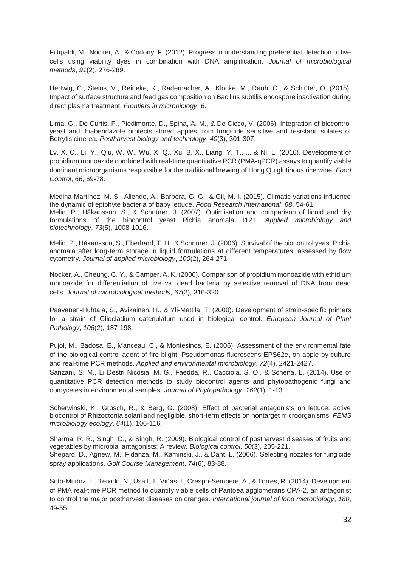Fittipaldi, M., Nocker, A., & Codony, F. (2012). Progress in understanding preferential detection of live cells using viability dyes in combination with DNA amplification. *Journal of microbiological methods*, *91*(2), 276-289.

Hertwig, C., Steins, V., Reineke, K., Rademacher, A., Klocke, M., Rauh, C., & Schlüter, O. (2015). Impact of surface structure and feed gas composition on Bacillus subtilis endospore inactivation during direct plasma treatment. *Frontiers in microbiology*, *6*.

Lima, G., De Curtis, F., Piedimonte, D., Spina, A. M., & De Cicco, V. (2006). Integration of biocontrol yeast and thiabendazole protects stored apples from fungicide sensitive and resistant isolates of Botrytis cinerea. *Postharvest biology and technology*, *40*(3), 301-307.

Lv, X. C., Li, Y., Qiu, W. W., Wu, X. Q., Xu, B. X., Liang, Y. T., ... & Ni, L. (2016). Development of propidium monoazide combined with real-time quantitative PCR (PMA-qPCR) assays to quantify viable dominant microorganisms responsible for the traditional brewing of Hong Qu glutinous rice wine. *Food Control*, *66*, 69-78.

Medina-Martínez, M. S., Allende, A., Barberá, G. G., & Gil, M. I. (2015). Climatic variations influence the dynamic of epiphyte bacteria of baby lettuce. *Food Research International*, *68*, 54-61. Melin, P., Håkansson, S., & Schnürer, J. (2007). Optimisation and comparison of liquid and dry formulations of the biocontrol yeast Pichia anomala J121. *Applied microbiology and biotechnology*, *73*(5), 1008-1016.

Melin, P., Håkansson, S., Eberhard, T. H., & Schnürer, J. (2006). Survival of the biocontrol yeast Pichia anomala after long‐term storage in liquid formulations at different temperatures, assessed by flow cytometry. *Journal of applied microbiology*, *100*(2), 264-271.

Nocker, A., Cheung, C. Y., & Camper, A. K. (2006). Comparison of propidium monoazide with ethidium monoazide for differentiation of live vs. dead bacteria by selective removal of DNA from dead cells. *Journal of microbiological methods*, *67*(2), 310-320.

Paavanen-Huhtala, S., Avikainen, H., & Yli-Mattila, T. (2000). Development of strain-specific primers for a strain of Gliocladium catenulatum used in biological control. *European Journal of Plant Pathology*, *106*(2), 187-198.

Pujol, M., Badosa, E., Manceau, C., & Montesinos, E. (2006). Assessment of the environmental fate of the biological control agent of fire blight, Pseudomonas fluorescens EPS62e, on apple by culture and real-time PCR methods. *Applied and environmental microbiology*, *72*(4), 2421-2427.

Sanzani, S. M., Li Destri Nicosia, M. G., Faedda, R., Cacciola, S. O., & Schena, L. (2014). Use of quantitative PCR detection methods to study biocontrol agents and phytopathogenic fungi and oomycetes in environmental samples. *Journal of Phytopathology*, *162*(1), 1-13.

Scherwinski, K., Grosch, R., & Berg, G. (2008). Effect of bacterial antagonists on lettuce: active biocontrol of Rhizoctonia solani and negligible, short-term effects on nontarget microorganisms. *FEMS microbiology ecology*, *64*(1), 106-116.

Sharma, R. R., Singh, D., & Singh, R. (2009). Biological control of postharvest diseases of fruits and vegetables by microbial antagonists: A review. *Biological control*, *50*(3), 205-221. Shepard, D., Agnew, M., Fidanza, M., Kaminski, J., & Dant, L. (2006). Selecting nozzles for fungicide spray applications. *Golf Course Management*, *74*(6), 83-88.

Soto-Muñoz, L., Teixidó, N., Usall, J., Viñas, I., Crespo-Sempere, A., & Torres, R. (2014). Development of PMA real-time PCR method to quantify viable cells of Pantoea agglomerans CPA-2, an antagonist to control the major postharvest diseases on oranges. *International journal of food microbiology*, *180*, 49-55.